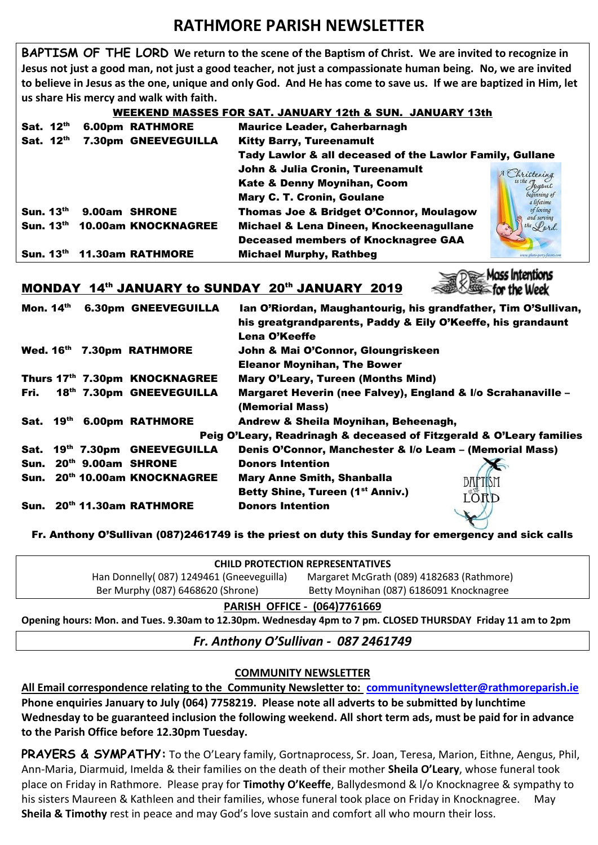# **RATHMORE PARISH NEWSLETTER**

**BAPTISM OF THE LORD We return to the scene of the Baptism of Christ. We are invited to recognize in Jesus not just a good man, not just a good teacher, not just a compassionate human being. No, we are invited to believe in Jesus as the one, unique and only God. And He has come to save us. If we are baptized in Him, let us share His mercy and walk with faith.**

#### WEEKEND MASSES FOR SAT. JANUARY 12th & SUN. JANUARY 13th

| Sat. 12th        |  | <b>6.00pm RATHMORE</b>  | <b>Maurice Leader, Caherbarnagh</b>                      |                            |
|------------------|--|-------------------------|----------------------------------------------------------|----------------------------|
| Sat. 12th        |  | 7.30pm GNEEVEGUILLA     | <b>Kitty Barry, Tureenamult</b>                          |                            |
|                  |  |                         | Tady Lawlor & all deceased of the Lawlor Family, Gullane |                            |
|                  |  |                         | John & Julia Cronin, Tureenamult                         | A Christening              |
|                  |  |                         | Kate & Denny Moynihan, Coom                              | is the Joyous              |
|                  |  |                         | <b>Mary C. T. Cronin, Goulane</b>                        | beginning of<br>ı lifetime |
| Sun. $13th$      |  | 9.00am SHRONE           | <b>Thomas Joe &amp; Bridget O'Connor, Moulagow</b>       | of loving<br>and serving   |
| Sun. $13th$      |  | 10.00am KNOCKNAGREE     | Michael & Lena Dineen, Knockeenagullane                  | the Lord                   |
|                  |  |                         | <b>Deceased members of Knocknagree GAA</b>               |                            |
| <b>Sun. 13th</b> |  | <b>11.30am RATHMORE</b> | <b>Michael Murphy, Rathbeg</b>                           |                            |

## MONDAY 14th JANUARY to SUNDAY 20th JANUARY 2019

| Mon. 14th                                                            |  |  | <b>6.30pm GNEEVEGUILLA</b>    | Ian O'Riordan, Maughantourig, his grandfather, Tim O'Sullivan,<br>his greatgrandparents, Paddy & Eily O'Keeffe, his grandaunt<br>Lena O'Keeffe |  |  |  |
|----------------------------------------------------------------------|--|--|-------------------------------|------------------------------------------------------------------------------------------------------------------------------------------------|--|--|--|
|                                                                      |  |  | Wed. 16th 7.30pm RATHMORE     | John & Mai O'Connor, Gloungriskeen                                                                                                             |  |  |  |
|                                                                      |  |  |                               | <b>Eleanor Moynihan, The Bower</b>                                                                                                             |  |  |  |
|                                                                      |  |  | Thurs 17th 7.30pm KNOCKNAGREE | Mary O'Leary, Tureen (Months Mind)                                                                                                             |  |  |  |
| Fri.                                                                 |  |  | 18th 7.30pm GNEEVEGUILLA      | Margaret Heverin (nee Falvey), England & I/o Scrahanaville -                                                                                   |  |  |  |
|                                                                      |  |  |                               | (Memorial Mass)                                                                                                                                |  |  |  |
|                                                                      |  |  | Sat. 19th 6.00pm RATHMORE     | Andrew & Sheila Moynihan, Beheenagh,                                                                                                           |  |  |  |
| Peig O'Leary, Readrinagh & deceased of Fitzgerald & O'Leary families |  |  |                               |                                                                                                                                                |  |  |  |
| Sat.                                                                 |  |  | 19th 7.30pm GNEEVEGUILLA      | Denis O'Connor, Manchester & I/o Leam - (Memorial Mass)                                                                                        |  |  |  |
|                                                                      |  |  | Sun. 20th 9.00am SHRONE       | <b>Donors Intention</b>                                                                                                                        |  |  |  |
|                                                                      |  |  | Sun. 20th 10.00am KNOCKNAGREE | <b>Mary Anne Smith, Shanballa</b><br><b>BAPTISM</b>                                                                                            |  |  |  |
|                                                                      |  |  |                               | Betty Shine, Tureen (1 <sup>st</sup> Anniv.)<br>LORD                                                                                           |  |  |  |
|                                                                      |  |  | Sun. 20th 11.30am RATHMORE    | <b>Donors Intention</b><br>$\mathbf{v}$                                                                                                        |  |  |  |

Fr. Anthony O'Sullivan (087)2461749 is the priest on duty this Sunday for emergency and sick calls

| <b>CHILD PROTECTION REPRESENTATIVES</b>   |                                           |  |  |  |  |
|-------------------------------------------|-------------------------------------------|--|--|--|--|
| Han Donnelly (087) 1249461 (Gneeveguilla) | Margaret McGrath (089) 4182683 (Rathmore) |  |  |  |  |
| Ber Murphy (087) 6468620 (Shrone)         | Betty Moynihan (087) 6186091 Knocknagree  |  |  |  |  |
| DADICH OCCICE (OGA)7761660                |                                           |  |  |  |  |

**PARISH OFFICE - (064)7761669**

**Opening hours: Mon. and Tues. 9.30am to 12.30pm. Wednesday 4pm to 7 pm. CLOSED THURSDAY Friday 11 am to 2pm**

*Fr. Anthony O'Sullivan - 087 2461749*

### **COMMUNITY NEWSLETTER**

**All Email correspondence relating to the Community Newsletter to: [communitynewsletter@rathmoreparish.ie](mailto:communitynewsletter@rathmoreparish.ie) Phone enquiries January to July (064) 7758219. Please note all adverts to be submitted by lunchtime Wednesday to be guaranteed inclusion the following weekend. All short term ads, must be paid for in advance to the Parish Office before 12.30pm Tuesday.**

**PRAYERS & SYMPATHY:** To the O'Leary family, Gortnaprocess, Sr. Joan, Teresa, Marion, Eithne, Aengus, Phil, Ann-Maria, Diarmuid, Imelda & their families on the death of their mother **Sheila O'Leary**, whose funeral took place on Friday in Rathmore. Please pray for **Timothy O'Keeffe**, Ballydesmond & l/o Knocknagree & sympathy to his sisters Maureen & Kathleen and their families, whose funeral took place on Friday in Knocknagree. May **Sheila & Timothy** rest in peace and may God's love sustain and comfort all who mourn their loss.